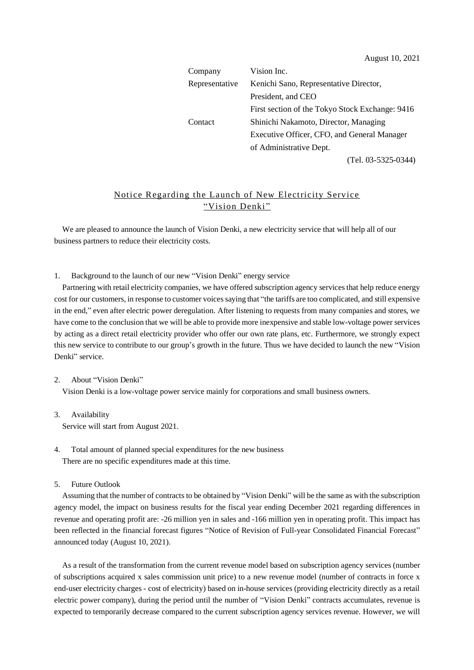| Company        | Vision Inc.                                     |  |  |
|----------------|-------------------------------------------------|--|--|
| Representative | Kenichi Sano, Representative Director,          |  |  |
|                | President, and CEO                              |  |  |
|                | First section of the Tokyo Stock Exchange: 9416 |  |  |
| Contact        | Shinichi Nakamoto, Director, Managing           |  |  |
|                | Executive Officer, CFO, and General Manager     |  |  |
|                | of Administrative Dept.                         |  |  |
|                | (Tel. 03-5325-0344)                             |  |  |

## Notice Regarding the Launch of New Electricity Service "Vision Denki"

We are pleased to announce the launch of Vision Denki, a new electricity service that will help all of our business partners to reduce their electricity costs.

1. Background to the launch of our new "Vision Denki" energy service

Partnering with retail electricity companies, we have offered subscription agency services that help reduce energy cost for our customers, in response to customer voicessaying that "the tariffs are too complicated, and still expensive in the end," even after electric power deregulation. After listening to requests from many companies and stores, we have come to the conclusion that we will be able to provide more inexpensive and stable low-voltage power services by acting as a direct retail electricity provider who offer our own rate plans, etc. Furthermore, we strongly expect this new service to contribute to our group's growth in the future. Thus we have decided to launch the new "Vision Denki" service.

## 2. About "Vision Denki"

Vision Denki is a low-voltage power service mainly for corporations and small business owners.

- 3. Availability Service will start from August 2021.
- 4. Total amount of planned special expenditures for the new business There are no specific expenditures made at this time.
- 5. Future Outlook

Assuming that the number of contracts to be obtained by "Vision Denki" will be the same as with the subscription agency model, the impact on business results for the fiscal year ending December 2021 regarding differences in revenue and operating profit are: -26 million yen in sales and -166 million yen in operating profit. This impact has been reflected in the financial forecast figures "Notice of Revision of Full-year Consolidated Financial Forecast" announced today (August 10, 2021).

As a result of the transformation from the current revenue model based on subscription agency services (number of subscriptions acquired x sales commission unit price) to a new revenue model (number of contracts in force x end-user electricity charges - cost of electricity) based on in-house services (providing electricity directly as a retail electric power company), during the period until the number of "Vision Denki" contracts accumulates, revenue is expected to temporarily decrease compared to the current subscription agency services revenue. However, we will